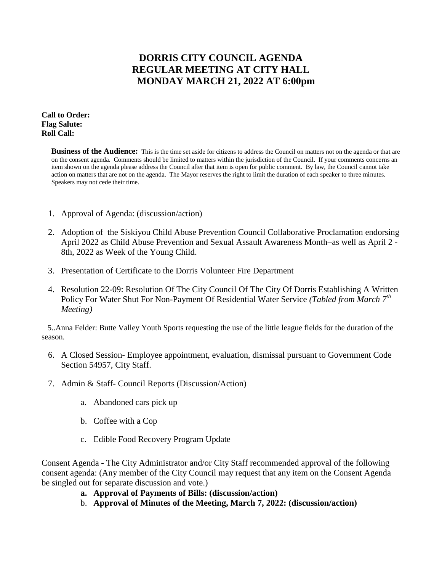## **DORRIS CITY COUNCIL AGENDA REGULAR MEETING AT CITY HALL MONDAY MARCH 21, 2022 AT 6:00pm**

**Call to Order: Flag Salute: Roll Call:**

> **Business of the Audience:** This is the time set aside for citizens to address the Council on matters not on the agenda or that are on the consent agenda. Comments should be limited to matters within the jurisdiction of the Council. If your comments concerns an item shown on the agenda please address the Council after that item is open for public comment. By law, the Council cannot take action on matters that are not on the agenda. The Mayor reserves the right to limit the duration of each speaker to three minutes. Speakers may not cede their time.

- 1. Approval of Agenda: (discussion/action)
- 2. Adoption of the Siskiyou Child Abuse Prevention Council Collaborative Proclamation endorsing April 2022 as Child Abuse Prevention and Sexual Assault Awareness Month–as well as April 2 - 8th, 2022 as Week of the Young Child.
- 3. Presentation of Certificate to the Dorris Volunteer Fire Department
- 4. Resolution 22-09: Resolution Of The City Council Of The City Of Dorris Establishing A Written Policy For Water Shut For Non-Payment Of Residential Water Service *(Tabled from March 7th Meeting)*

 5..Anna Felder: Butte Valley Youth Sports requesting the use of the little league fields for the duration of the season.

- 6. A Closed Session- Employee appointment, evaluation, dismissal pursuant to Government Code Section 54957, City Staff.
- 7. Admin & Staff- Council Reports (Discussion/Action)
	- a. Abandoned cars pick up
	- b. Coffee with a Cop
	- c. Edible Food Recovery Program Update

Consent Agenda - The City Administrator and/or City Staff recommended approval of the following consent agenda: (Any member of the City Council may request that any item on the Consent Agenda be singled out for separate discussion and vote.)

- **a. Approval of Payments of Bills: (discussion/action)**
- b. **Approval of Minutes of the Meeting, March 7, 2022: (discussion/action)**